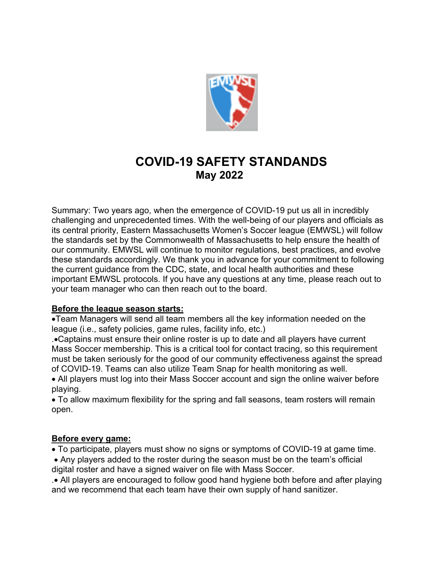

# **COVID-19 SAFETY STANDANDS May 2022**

Summary: Two years ago, when the emergence of COVID-19 put us all in incredibly challenging and unprecedented times. With the well-being of our players and officials as its central priority, Eastern Massachusetts Women's Soccer league (EMWSL) will follow the standards set by the Commonwealth of Massachusetts to help ensure the health of our community. EMWSL will continue to monitor regulations, best practices, and evolve these standards accordingly. We thank you in advance for your commitment to following the current guidance from the CDC, state, and local health authorities and these important EMWSL protocols. If you have any questions at any time, please reach out to your team manager who can then reach out to the board.

# **Before the league season starts:**

•Team Managers will send all team members all the key information needed on the league (i.e., safety policies, game rules, facility info, etc.)

.•Captains must ensure their online roster is up to date and all players have current Mass Soccer membership. This is a critical tool for contact tracing, so this requirement must be taken seriously for the good of our community effectiveness against the spread of COVID-19. Teams can also utilize Team Snap for health monitoring as well.

• All players must log into their Mass Soccer account and sign the online waiver before playing.

• To allow maximum flexibility for the spring and fall seasons, team rosters will remain open.

### **Before every game:**

• To participate, players must show no signs or symptoms of COVID-19 at game time.

• Any players added to the roster during the season must be on the team's official digital roster and have a signed waiver on file with Mass Soccer.

.• All players are encouraged to follow good hand hygiene both before and after playing and we recommend that each team have their own supply of hand sanitizer.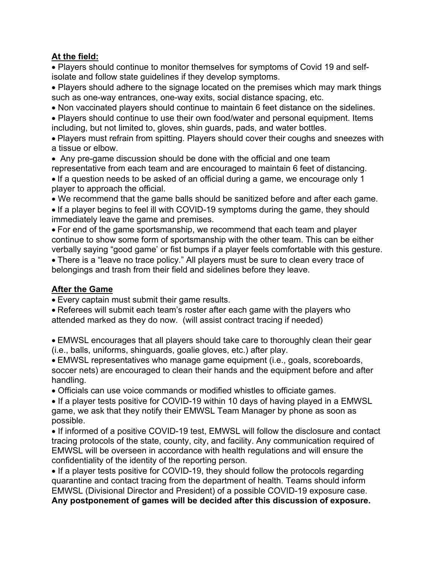# **At the field:**

• Players should continue to monitor themselves for symptoms of Covid 19 and selfisolate and follow state guidelines if they develop symptoms.

• Players should adhere to the signage located on the premises which may mark things such as one-way entrances, one-way exits, social distance spacing, etc.

• Non vaccinated players should continue to maintain 6 feet distance on the sidelines.

• Players should continue to use their own food/water and personal equipment. Items including, but not limited to, gloves, shin guards, pads, and water bottles.

• Players must refrain from spitting. Players should cover their coughs and sneezes with a tissue or elbow.

• Any pre-game discussion should be done with the official and one team representative from each team and are encouraged to maintain 6 feet of distancing.

• If a question needs to be asked of an official during a game, we encourage only 1 player to approach the official.

• We recommend that the game balls should be sanitized before and after each game.

• If a player begins to feel ill with COVID-19 symptoms during the game, they should immediately leave the game and premises.

• For end of the game sportsmanship, we recommend that each team and player continue to show some form of sportsmanship with the other team. This can be either verbally saying "good game' or fist bumps if a player feels comfortable with this gesture.

• There is a "leave no trace policy." All players must be sure to clean every trace of belongings and trash from their field and sidelines before they leave.

# **After the Game**

• Every captain must submit their game results.

• Referees will submit each team's roster after each game with the players who attended marked as they do now. (will assist contract tracing if needed)

• EMWSL encourages that all players should take care to thoroughly clean their gear (i.e., balls, uniforms, shinguards, goalie gloves, etc.) after play.

• EMWSL representatives who manage game equipment (i.e., goals, scoreboards, soccer nets) are encouraged to clean their hands and the equipment before and after handling.

• Officials can use voice commands or modified whistles to officiate games.

• If a player tests positive for COVID-19 within 10 days of having played in a EMWSL game, we ask that they notify their EMWSL Team Manager by phone as soon as possible.

• If informed of a positive COVID-19 test, EMWSL will follow the disclosure and contact tracing protocols of the state, county, city, and facility. Any communication required of EMWSL will be overseen in accordance with health regulations and will ensure the confidentiality of the identity of the reporting person.

• If a player tests positive for COVID-19, they should follow the protocols regarding quarantine and contact tracing from the department of health. Teams should inform EMWSL (Divisional Director and President) of a possible COVID-19 exposure case.

**Any postponement of games will be decided after this discussion of exposure.**